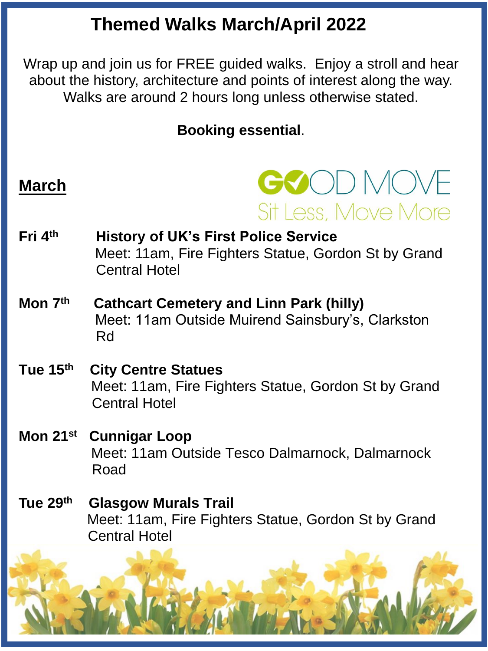## **Themed Walks March/April 2022**

Wrap up and join us for FREE guided walks. Enjoy a stroll and hear about the history, architecture and points of interest along the way. Walks are around 2 hours long unless otherwise stated.

### **Booking essential**.

### **March**

# GOOD MOVE Sit Less, Move More

- **Fri 4th History of UK's First Police Service** Meet: 11am, Fire Fighters Statue, Gordon St by Grand Central Hotel
- **Mon 7th Cathcart Cemetery and Linn Park (hilly)** Meet: 11am Outside Muirend Sainsbury's, Clarkston Rd
- **Tue 15th City Centre Statues**  Meet: 11am, Fire Fighters Statue, Gordon St by Grand Central Hotel
- **Mon 21st Cunnigar Loop**  Meet: 11am Outside Tesco Dalmarnock, Dalmarnock Road
- **Tue 29th Glasgow Murals Trail** Meet: 11am, Fire Fighters Statue, Gordon St by Grand Central Hotel